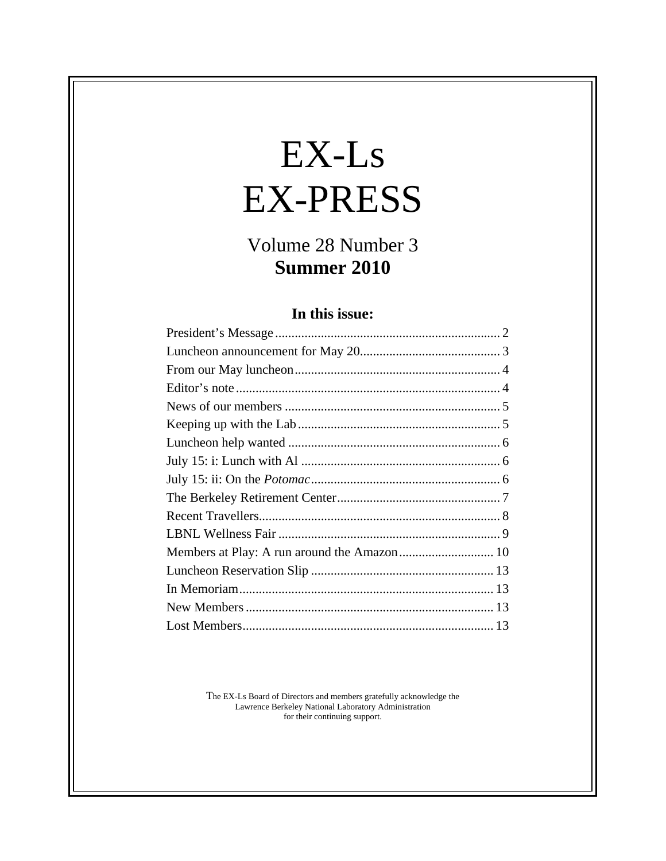# $EX-Ls$ EX-PRESS

## Volume 28 Number 3<br>Summer 2010 **Summer 2010**

#### **In this issue:**

The EX-Ls Board of Directors and members gratefully acknowledge the Lawrence Berkeley National Laboratory Administration for their continuing support.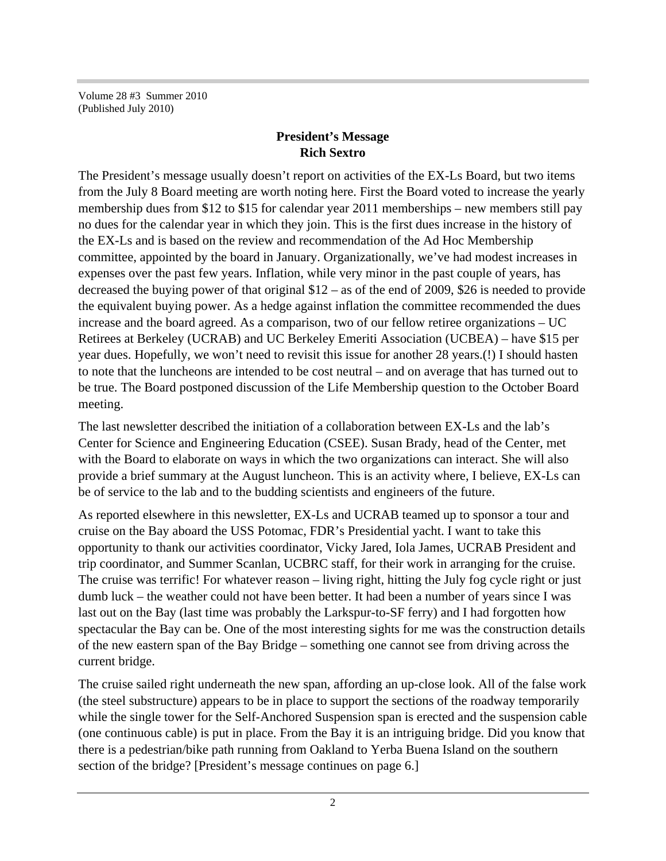Volume 28 #3 Summer 2010 (Published July 2010)

#### **President's Message Rich Sextro**

The President's message usually doesn't report on activities of the EX-Ls Board, but two items from the July 8 Board meeting are worth noting here. First the Board voted to increase the yearly membership dues from \$12 to \$15 for calendar year 2011 memberships – new members still pay no dues for the calendar year in which they join. This is the first dues increase in the history of the EX-Ls and is based on the review and recommendation of the Ad Hoc Membership committee, appointed by the board in January. Organizationally, we've had modest increases in expenses over the past few years. Inflation, while very minor in the past couple of years, has decreased the buying power of that original \$12 – as of the end of 2009, \$26 is needed to provide the equivalent buying power. As a hedge against inflation the committee recommended the dues increase and the board agreed. As a comparison, two of our fellow retiree organizations – UC Retirees at Berkeley (UCRAB) and UC Berkeley Emeriti Association (UCBEA) – have \$15 per year dues. Hopefully, we won't need to revisit this issue for another 28 years.(!) I should hasten to note that the luncheons are intended to be cost neutral – and on average that has turned out to be true. The Board postponed discussion of the Life Membership question to the October Board meeting.

The last newsletter described the initiation of a collaboration between EX-Ls and the lab's Center for Science and Engineering Education (CSEE). Susan Brady, head of the Center, met with the Board to elaborate on ways in which the two organizations can interact. She will also provide a brief summary at the August luncheon. This is an activity where, I believe, EX-Ls can be of service to the lab and to the budding scientists and engineers of the future.

As reported elsewhere in this newsletter, EX-Ls and UCRAB teamed up to sponsor a tour and cruise on the Bay aboard the USS Potomac, FDR's Presidential yacht. I want to take this opportunity to thank our activities coordinator, Vicky Jared, Iola James, UCRAB President and trip coordinator, and Summer Scanlan, UCBRC staff, for their work in arranging for the cruise. The cruise was terrific! For whatever reason – living right, hitting the July fog cycle right or just dumb luck – the weather could not have been better. It had been a number of years since I was last out on the Bay (last time was probably the Larkspur-to-SF ferry) and I had forgotten how spectacular the Bay can be. One of the most interesting sights for me was the construction details of the new eastern span of the Bay Bridge – something one cannot see from driving across the current bridge.

The cruise sailed right underneath the new span, affording an up-close look. All of the false work (the steel substructure) appears to be in place to support the sections of the roadway temporarily while the single tower for the Self-Anchored Suspension span is erected and the suspension cable (one continuous cable) is put in place. From the Bay it is an intriguing bridge. Did you know that there is a pedestrian/bike path running from Oakland to Yerba Buena Island on the southern section of the bridge? [President's message continues on page 6.]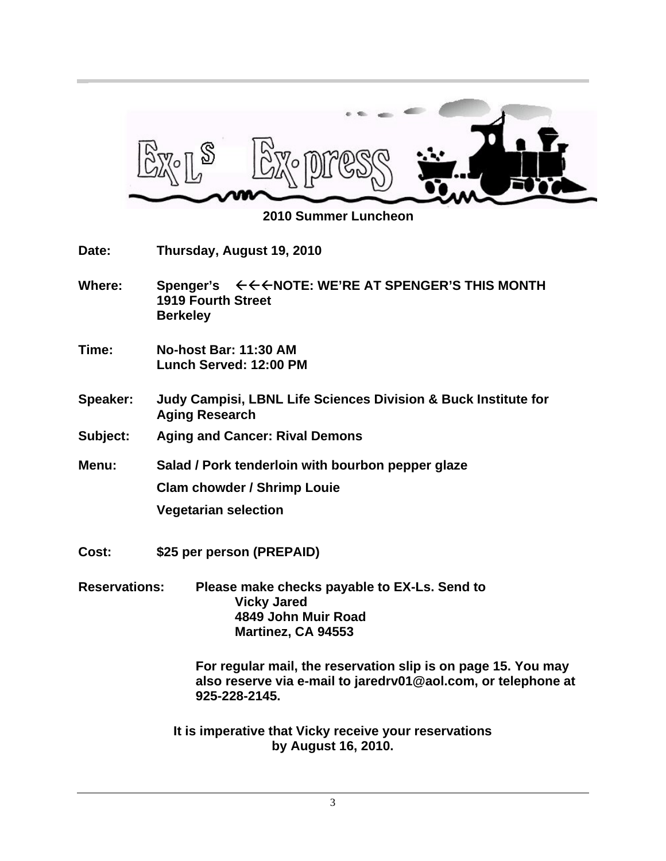

 **2010 Summer Luncheon**

| Date:                | Thursday, August 19, 2010                                                                                                                       |
|----------------------|-------------------------------------------------------------------------------------------------------------------------------------------------|
| Where:               | <b>1919 Fourth Street</b><br><b>Berkeley</b>                                                                                                    |
| Time:                | No-host Bar: 11:30 AM<br>Lunch Served: 12:00 PM                                                                                                 |
| <b>Speaker:</b>      | Judy Campisi, LBNL Life Sciences Division & Buck Institute for<br><b>Aging Research</b>                                                         |
| Subject:             | <b>Aging and Cancer: Rival Demons</b>                                                                                                           |
| Menu:                | Salad / Pork tenderloin with bourbon pepper glaze                                                                                               |
|                      | <b>Clam chowder / Shrimp Louie</b>                                                                                                              |
|                      | <b>Vegetarian selection</b>                                                                                                                     |
| Cost:                | \$25 per person (PREPAID)                                                                                                                       |
| <b>Reservations:</b> | Please make checks payable to EX-Ls. Send to<br><b>Vicky Jared</b><br>4849 John Muir Road<br>Martinez, CA 94553                                 |
|                      | For regular mail, the reservation slip is on page 15. You may<br>also reserve via e-mail to jaredrv01@aol.com, or telephone at<br>925-228-2145. |

**It is imperative that Vicky receive your reservations by August 16, 2010.**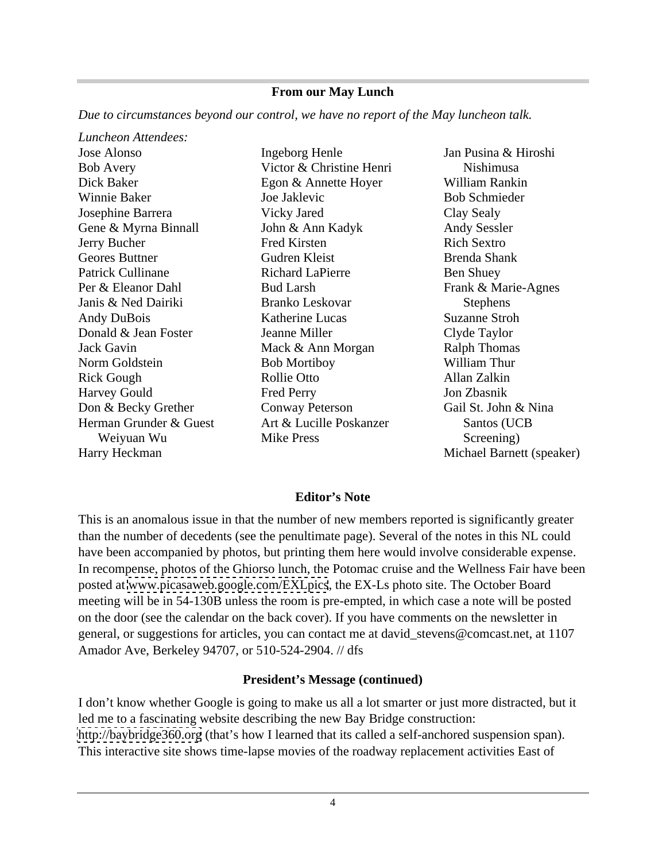#### **From our May Lunch**

*Due to circumstances beyond our control, we have no report of the May luncheon talk.* 

*Luncheon Attendees:* Jose Alonso **Ingeborg Henle** Jan Pusina & Hiroshi Bob Avery **Source Accelerate Victor & Christine Henri** Nishimusa Dick Baker Egon & Annette Hoyer Winnie Baker **Source Source Source Source Source Source Source Source Source Source Source Source Source Source Source Source Source Source Source Source Source Source Source Source Source Source Source Source Source Sourc** Josephine Barrera Gene & Myrna Binnall **Solution** John & Ann Kadyk **Andy Sessler** Jerry Bucher Geores Buttner Gudren Kleist Cudren Kleist Brenda Shank Patrick Cullinane **Richard LaPierre** Ben Shuey Per & Eleanor Dahl Frank & Marie-Agnes Janis & Ned Dairiki Andy DuBois **Example 3** Katherine Lucas Suzanne Stroh Donald & Jean Foster **Search Search Health Cluber** Clyde Taylor Jack Gavin **International Mack & Ann Morgan** Ralph Thomas Norm Goldstein **Bob Mortiboy William Thur** Rick Gough **Rollie Otto Rollie Otto Rollie Otto Rick Allan Zalkin** Harvey Gould Don & Becky Grether Conway Peterson Herman Grunder & Guest Art & Lucille Poskanzer Santos (UCB Harry Heckman Michael Barnett (speaker)

Victor & Christine Henri Art & Lucille Poskanzer

Weiyuan Wu Ingeborg Henle Joe Jaklevic Vicky Jared Clay Sealy John & Ann Kadyk Fred Kirsten **Rich Sextro** Gudren Kleist Richard LaPierre Ben Shuey Bud Larsh Frank & Marie-Agnes Branko Leskovar Katherine Lucas Suzanne Stroh Jeanne Miller Mack & Ann Morgan Ralph Thomas Bob Mortiboy Rollie Otto **Allah** Zalkin Fred Perry **Solution** Jon Zbasnik Conway Peterson Gail St. John & Nina Mike Press Screening) Jan Pusina & Hiroshi Nishimusa William Rankin Bob Schmieder Clay Sealy Andy Sessler Rich Sextro Brenda Shank Ben Shuey Stephens and the state of the state of the state of the state of the state of the state of the state of the state of the state of the state of the state of the state of the state of the state of the state of the state of t Suzanne Stroh Clyde Taylor Ralph Thomas William Thur Allan Zalkin Jon Zbasnik Gail St. John & Nina Santos (UCB Screening)

#### **Editor's Note**

This is an anomalous issue in that the number of new members reported is significantly greater than the number of decedents (see the penultimate page). Several of the notes in this NL could have been accompanied by photos, but printing them here would involve considerable expense. In recompense, photos of the Ghiorso lunch, the Potomac cruise and the Wellness Fair have been posted at [www.picasaweb.google.com/EXLpics](http://www.picasaweb.google.com/EXLpics), the EX-Ls photo site. The October Board meeting will be in 54-130B unless the room is pre-empted, in which case a note will be posted on the door (see the calendar on the back cover). If you have comments on the newsletter in general, or suggestions for articles, you can contact me at david\_stevens@comcast.net, at 1107 Amador Ave, Berkeley 94707, or 510-524-2904. // dfs

#### **President's Message (continued)**

I don't know whether Google is going to make us all a lot smarter or just more distracted, but it led me to a fascinating website describing the new Bay Bridge construction: <http://baybridge360.org> (that's how I learned that its called a self-anchored suspension span). This interactive site shows time-lapse movies of the roadway replacement activities East of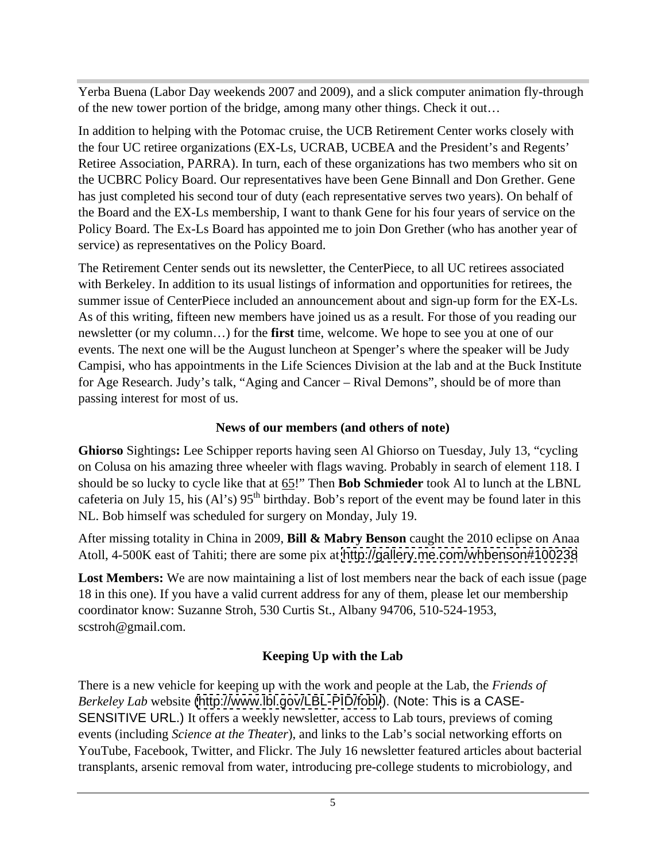Yerba Buena (Labor Day weekends 2007 and 2009), and a slick computer animation fly-through of the new tower portion of the bridge, among many other things. Check it out…

In addition to helping with the Potomac cruise, the UCB Retirement Center works closely with the four UC retiree organizations (EX-Ls, UCRAB, UCBEA and the President's and Regents' Retiree Association, PARRA). In turn, each of these organizations has two members who sit on the UCBRC Policy Board. Our representatives have been Gene Binnall and Don Grether. Gene has just completed his second tour of duty (each representative serves two years). On behalf of the Board and the EX-Ls membership, I want to thank Gene for his four years of service on the Policy Board. The Ex-Ls Board has appointed me to join Don Grether (who has another year of service) as representatives on the Policy Board.

The Retirement Center sends out its newsletter, the CenterPiece, to all UC retirees associated with Berkeley. In addition to its usual listings of information and opportunities for retirees, the summer issue of CenterPiece included an announcement about and sign-up form for the EX-Ls. As of this writing, fifteen new members have joined us as a result. For those of you reading our newsletter (or my column…) for the **first** time, welcome. We hope to see you at one of our events. The next one will be the August luncheon at Spenger's where the speaker will be Judy Campisi, who has appointments in the Life Sciences Division at the lab and at the Buck Institute for Age Research. Judy's talk, "Aging and Cancer – Rival Demons", should be of more than passing interest for most of us.

#### **News of our members (and others of note)**

**Ghiorso** Sightings**:** Lee Schipper reports having seen Al Ghiorso on Tuesday, July 13, "cycling on Colusa on his amazing three wheeler with flags waving. Probably in search of element 118. I should be so lucky to cycle like that at 65!" Then **Bob Schmieder** took Al to lunch at the LBNL cafeteria on July 15, his  $(A'')$  95<sup>th</sup> birthday. Bob's report of the event may be found later in this NL. Bob himself was scheduled for surgery on Monday, July 19.

After missing totality in China in 2009, **Bill & Mabry Benson** caught the 2010 eclipse on Anaa Atoll, 4-500K east of Tahiti; there are some pix at <http://gallery.me.com/whbenson#100238>

Lost Members: We are now maintaining a list of lost members near the back of each issue (page 18 in this one). If you have a valid current address for any of them, please let our membership coordinator know: Suzanne Stroh, 530 Curtis St., Albany 94706, 510-524-1953, scstroh@gmail.com.

#### **Keeping Up with the Lab**

There is a new vehicle for keeping up with the work and people at the Lab, the *Friends of Berkeley Lab* website [\(http://www.lbl.gov/LBL-PID/fobl/](http://www.lbl.gov/LBL-PID/fobl/)). (Note: This is a CASE- SENSITIVE URL.) It offers a weekly newsletter, access to Lab tours, previews of coming events (including *Science at the Theater*), and links to the Lab's social networking efforts on YouTube, Facebook, Twitter, and Flickr. The July 16 newsletter featured articles about bacterial transplants, arsenic removal from water, introducing pre-college students to microbiology, and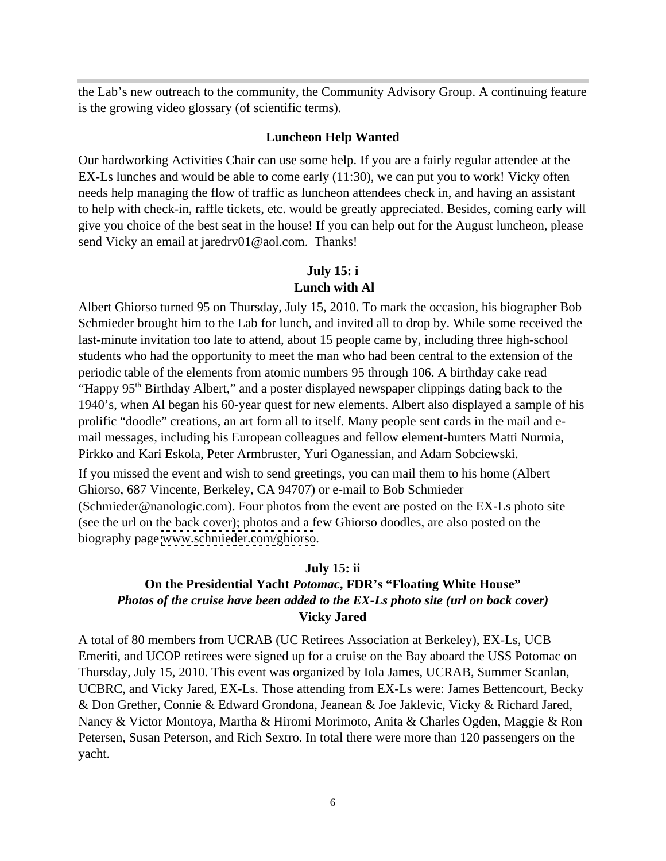the Lab's new outreach to the community, the Community Advisory Group. A continuing feature is the growing video glossary (of scientific terms).

#### **Luncheon Help Wanted**

Our hardworking Activities Chair can use some help. If you are a fairly regular attendee at the EX-Ls lunches and would be able to come early (11:30), we can put you to work! Vicky often needs help managing the flow of traffic as luncheon attendees check in, and having an assistant to help with check-in, raffle tickets, etc. would be greatly appreciated. Besides, coming early will give you choice of the best seat in the house! If you can help out for the August luncheon, please send Vicky an email at jaredrv01@aol.com. Thanks!

#### **July 15: i Lunch with Al**

Albert Ghiorso turned 95 on Thursday, July 15, 2010. To mark the occasion, his biographer Bob Schmieder brought him to the Lab for lunch, and invited all to drop by. While some received the last-minute invitation too late to attend, about 15 people came by, including three high-school students who had the opportunity to meet the man who had been central to the extension of the periodic table of the elements from atomic numbers 95 through 106. A birthday cake read "Happy 95<sup>th</sup> Birthday Albert," and a poster displayed newspaper clippings dating back to the 1940's, when Al began his 60-year quest for new elements. Albert also displayed a sample of his prolific "doodle" creations, an art form all to itself. Many people sent cards in the mail and e mail messages, including his European colleagues and fellow element-hunters Matti Nurmia, Pirkko and Kari Eskola, Peter Armbruster, Yuri Oganessian, and Adam Sobciewski.

If you missed the event and wish to send greetings, you can mail them to his home (Albert Ghiorso, 687 Vincente, Berkeley, CA 94707) or e-mail to Bob Schmieder (Schmieder@nanologic.com). Four photos from the event are posted on the EX-Ls photo site (see the url on the back cover); photos and a few Ghiorso doodles, are also posted on the biography page [www.schmieder.com/ghiorso](http://www.schmieder.com/ghiorso).

#### **July 15: ii**

#### **On the Presidential Yacht** *Potomac***, FDR's "Floating White House"** *Photos of the cruise have been added to the EX-Ls photo site (url on back cover)* **Vicky Jared**

A total of 80 members from UCRAB (UC Retirees Association at Berkeley), EX-Ls, UCB Emeriti, and UCOP retirees were signed up for a cruise on the Bay aboard the USS Potomac on Thursday, July 15, 2010. This event was organized by Iola James, UCRAB, Summer Scanlan, UCBRC, and Vicky Jared, EX-Ls. Those attending from EX-Ls were: James Bettencourt, Becky & Don Grether, Connie & Edward Grondona, Jeanean & Joe Jaklevic, Vicky & Richard Jared, Nancy & Victor Montoya, Martha & Hiromi Morimoto, Anita & Charles Ogden, Maggie & Ron Petersen, Susan Peterson, and Rich Sextro. In total there were more than 120 passengers on the yacht.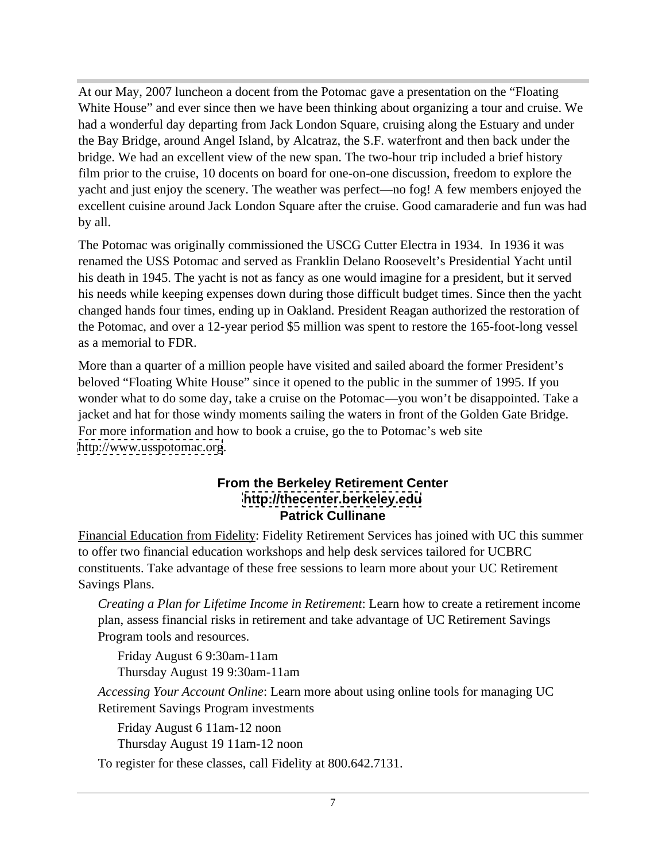At our May, 2007 luncheon a docent from the Potomac gave a presentation on the "Floating White House" and ever since then we have been thinking about organizing a tour and cruise. We had a wonderful day departing from Jack London Square, cruising along the Estuary and under the Bay Bridge, around Angel Island, by Alcatraz, the S.F. waterfront and then back under the bridge. We had an excellent view of the new span. The two-hour trip included a brief history film prior to the cruise, 10 docents on board for one-on-one discussion, freedom to explore the yacht and just enjoy the scenery. The weather was perfect—no fog! A few members enjoyed the excellent cuisine around Jack London Square after the cruise. Good camaraderie and fun was had by all.

The Potomac was originally commissioned the USCG Cutter Electra in 1934. In 1936 it was renamed the USS Potomac and served as Franklin Delano Roosevelt's Presidential Yacht until his death in 1945. The yacht is not as fancy as one would imagine for a president, but it served his needs while keeping expenses down during those difficult budget times. Since then the yacht changed hands four times, ending up in Oakland. President Reagan authorized the restoration of the Potomac, and over a 12-year period \$5 million was spent to restore the 165-foot-long vessel as a memorial to FDR.

More than a quarter of a million people have visited and sailed aboard the former President's beloved "Floating White House" since it opened to the public in the summer of 1995. If you wonder what to do some day, take a cruise on the Potomac—you won't be disappointed. Take a jacket and hat for those windy moments sailing the waters in front of the Golden Gate Bridge. For more information and how to book a cruise, go the to Potomac's web site <http://www.usspotomac.org>.

#### **From the Berkeley Retirement Center <http://thecenter.berkeley.edu> Patrick Cullinane**

Financial Education from Fidelity: Fidelity Retirement Services has joined with UC this summer to offer two financial education workshops and help desk services tailored for UCBRC constituents. Take advantage of these free sessions to learn more about your UC Retirement Savings Plans.

*Creating a Plan for Lifetime Income in Retirement*: Learn how to create a retirement income plan, assess financial risks in retirement and take advantage of UC Retirement Savings Program tools and resources.

Friday August 6 9:30am-11am Thursday August 19 9:30am-11am

*Accessing Your Account Online*: Learn more about using online tools for managing UC Retirement Savings Program investments

Friday August 6 11am-12 noon Thursday August 19 11am-12 noon

To register for these classes, call Fidelity at 800.642.7131.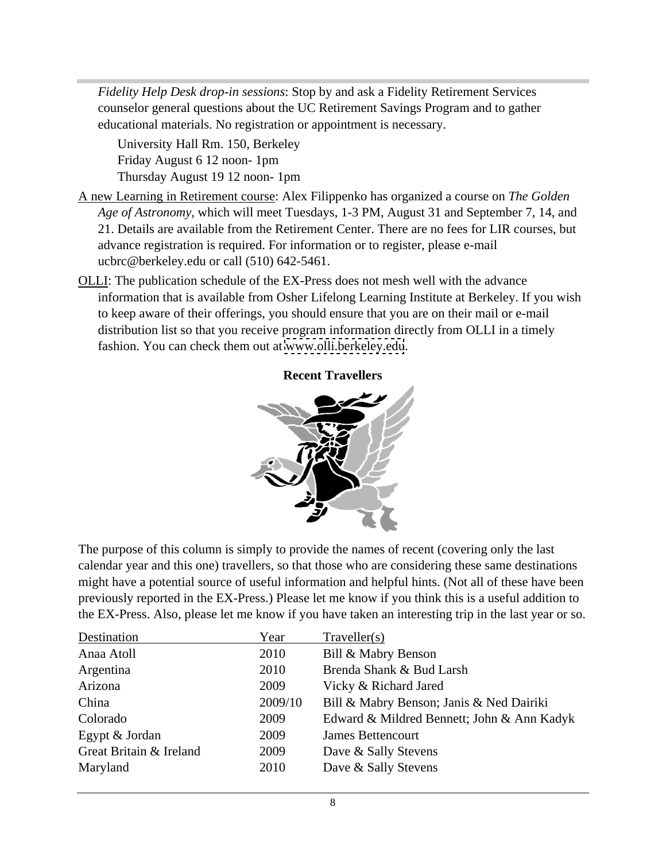*Fidelity Help Desk drop-in sessions*: Stop by and ask a Fidelity Retirement Services counselor general questions about the UC Retirement Savings Program and to gather educational materials. No registration or appointment is necessary.

University Hall Rm. 150, Berkeley Friday August 6 12 noon- 1pm Thursday August 19 12 noon- 1pm

- A new Learning in Retirement course: Alex Filippenko has organized a course on *The Golden Age of Astronomy*, which will meet Tuesdays, 1-3 PM, August 31 and September 7, 14, and 21. Details are available from the Retirement Center. There are no fees for LIR courses, but advance registration is required. For information or to register, please e-mail ucbrc@berkeley.edu or call (510) 642-5461.
- OLLI: The publication schedule of the EX-Press does not mesh well with the advance information that is available from Osher Lifelong Learning Institute at Berkeley. If you wish to keep aware of their offerings, you should ensure that you are on their mail or e-mail distribution list so that you receive program information directly from OLLI in a timely fashion. You can check them out at [www.olli.berkeley.edu](http://www.olli.berkeley.edu).



**Recent Travellers**

The purpose of this column is simply to provide the names of recent (covering only the last calendar year and this one) travellers, so that those who are considering these same destinations might have a potential source of useful information and helpful hints. (Not all of these have been previously reported in the EX-Press.) Please let me know if you think this is a useful addition to the EX-Press. Also, please let me know if you have taken an interesting trip in the last year or so.

| Year | Traveller(s)                                     |
|------|--------------------------------------------------|
| 2010 | Bill & Mabry Benson                              |
| 2010 | Brenda Shank & Bud Larsh                         |
| 2009 | Vicky & Richard Jared                            |
|      | 2009/10 Bill & Mabry Benson; Janis & Ned Dairiki |
| 2009 | Edward & Mildred Bennett; John & Ann Kadyk       |
| 2009 | <b>James Bettencourt</b>                         |
| 2009 | Dave & Sally Stevens                             |
| 2010 | Dave & Sally Stevens                             |
|      |                                                  |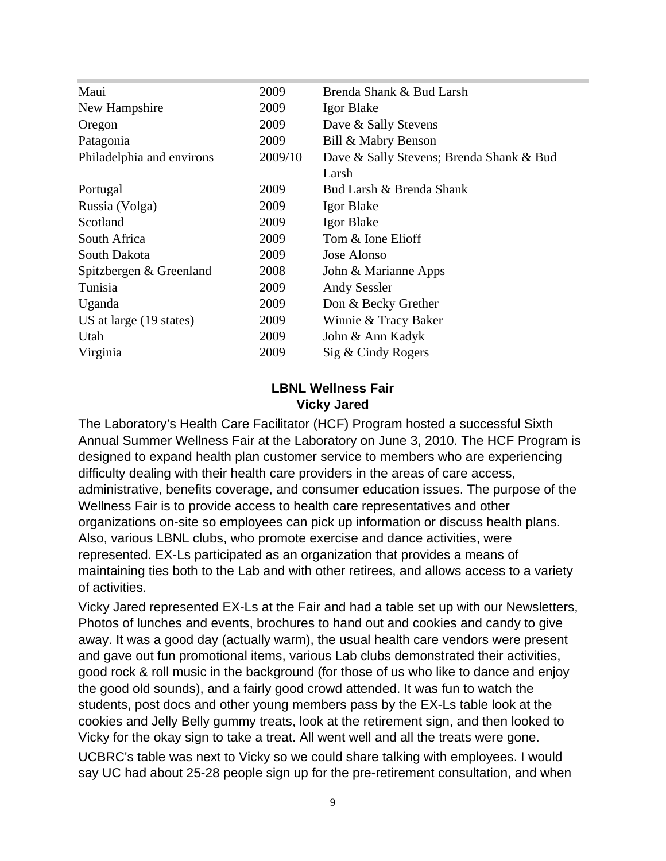| Maui                      | 2009    | Brenda Shank & Bud Larsh                 |
|---------------------------|---------|------------------------------------------|
| New Hampshire             | 2009    | Igor Blake                               |
| Oregon                    | 2009    | Dave & Sally Stevens                     |
| Patagonia                 | 2009    | Bill & Mabry Benson                      |
| Philadelphia and environs | 2009/10 | Dave & Sally Stevens; Brenda Shank & Bud |
|                           |         | Larsh                                    |
| Portugal                  | 2009    | Bud Larsh & Brenda Shank                 |
| Russia (Volga)            | 2009    | Igor Blake                               |
| Scotland                  | 2009    | Igor Blake                               |
| South Africa              | 2009    | Tom & Ione Elioff                        |
| South Dakota              | 2009    | Jose Alonso                              |
| Spitzbergen & Greenland   | 2008    | John & Marianne Apps                     |
| Tunisia                   | 2009    | <b>Andy Sessler</b>                      |
| Uganda                    | 2009    | Don & Becky Grether                      |
| US at large (19 states)   | 2009    | Winnie & Tracy Baker                     |
| Utah                      | 2009    | John & Ann Kadyk                         |
| Virginia                  | 2009    | Sig & Cindy Rogers                       |
|                           |         |                                          |

#### **LBNL Wellness Fair Vicky Jared**

The Laboratory's Health Care Facilitator (HCF) Program hosted a successful Sixth Annual Summer Wellness Fair at the Laboratory on June 3, 2010. The HCF Program is designed to expand health plan customer service to members who are experiencing difficulty dealing with their health care providers in the areas of care access, administrative, benefits coverage, and consumer education issues. The purpose of the Wellness Fair is to provide access to health care representatives and other organizations on-site so employees can pick up information or discuss health plans. Also, various LBNL clubs, who promote exercise and dance activities, were represented. EX-Ls participated as an organization that provides a means of maintaining ties both to the Lab and with other retirees, and allows access to a variety of activities.

Vicky Jared represented EX-Ls at the Fair and had a table set up with our Newsletters, Photos of lunches and events, brochures to hand out and cookies and candy to give away. It was a good day (actually warm), the usual health care vendors were present and gave out fun promotional items, various Lab clubs demonstrated their activities, good rock & roll music in the background (for those of us who like to dance and enjoy the good old sounds), and a fairly good crowd attended. It was fun to watch the students, post docs and other young members pass by the EX-Ls table look at the cookies and Jelly Belly gummy treats, look at the retirement sign, and then looked to Vicky for the okay sign to take a treat. All went well and all the treats were gone.

UCBRC's table was next to Vicky so we could share talking with employees. I would say UC had about 25-28 people sign up for the pre-retirement consultation, and when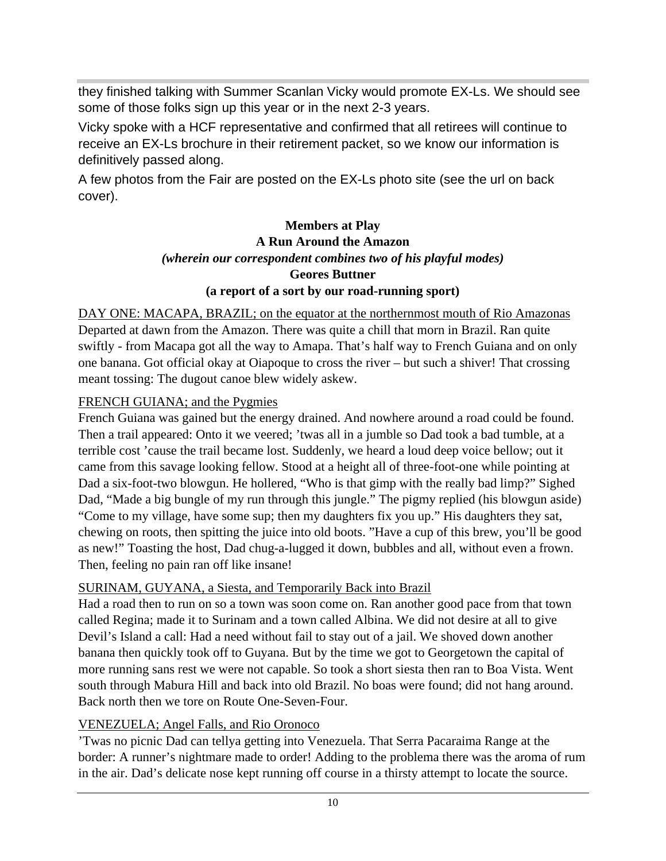they finished talking with Summer Scanlan Vicky would promote EX-Ls. We should see some of those folks sign up this year or in the next 2-3 years.

Vicky spoke with a HCF representative and confirmed that all retirees will continue to receive an EX-Ls brochure in their retirement packet, so we know our information is definitively passed along.

A few photos from the Fair are posted on the EX-Ls photo site (see the url on back cover).

### **Members at Play A Run Around the Amazon** *(wherein our correspondent combines two of his playful modes)* **Geores Buttner (a report of a sort by our road-running sport)**

DAY ONE: MACAPA, BRAZIL; on the equator at the northernmost mouth of Rio Amazonas Departed at dawn from the Amazon. There was quite a chill that morn in Brazil. Ran quite swiftly - from Macapa got all the way to Amapa. That's half way to French Guiana and on only one banana. Got official okay at Oiapoque to cross the river – but such a shiver! That crossing meant tossing: The dugout canoe blew widely askew.

#### FRENCH GUIANA; and the Pygmies

French Guiana was gained but the energy drained. And nowhere around a road could be found. Then a trail appeared: Onto it we veered; 'twas all in a jumble so Dad took a bad tumble, at a terrible cost 'cause the trail became lost. Suddenly, we heard a loud deep voice bellow; out it came from this savage looking fellow. Stood at a height all of three-foot-one while pointing at Dad a six-foot-two blowgun. He hollered, "Who is that gimp with the really bad limp?" Sighed Dad, "Made a big bungle of my run through this jungle." The pigmy replied (his blowgun aside) "Come to my village, have some sup; then my daughters fix you up." His daughters they sat, chewing on roots, then spitting the juice into old boots. "Have a cup of this brew, you'll be good as new!" Toasting the host, Dad chug-a-lugged it down, bubbles and all, without even a frown. Then, feeling no pain ran off like insane!

#### SURINAM, GUYANA, a Siesta, and Temporarily Back into Brazil

Had a road then to run on so a town was soon come on. Ran another good pace from that town called Regina; made it to Surinam and a town called Albina. We did not desire at all to give Devil's Island a call: Had a need without fail to stay out of a jail. We shoved down another banana then quickly took off to Guyana. But by the time we got to Georgetown the capital of more running sans rest we were not capable. So took a short siesta then ran to Boa Vista. Went south through Mabura Hill and back into old Brazil. No boas were found; did not hang around. Back north then we tore on Route One-Seven-Four.

#### VENEZUELA; Angel Falls, and Rio Oronoco

'Twas no picnic Dad can tellya getting into Venezuela. That Serra Pacaraima Range at the border: A runner's nightmare made to order! Adding to the problema there was the aroma of rum in the air. Dad's delicate nose kept running off course in a thirsty attempt to locate the source.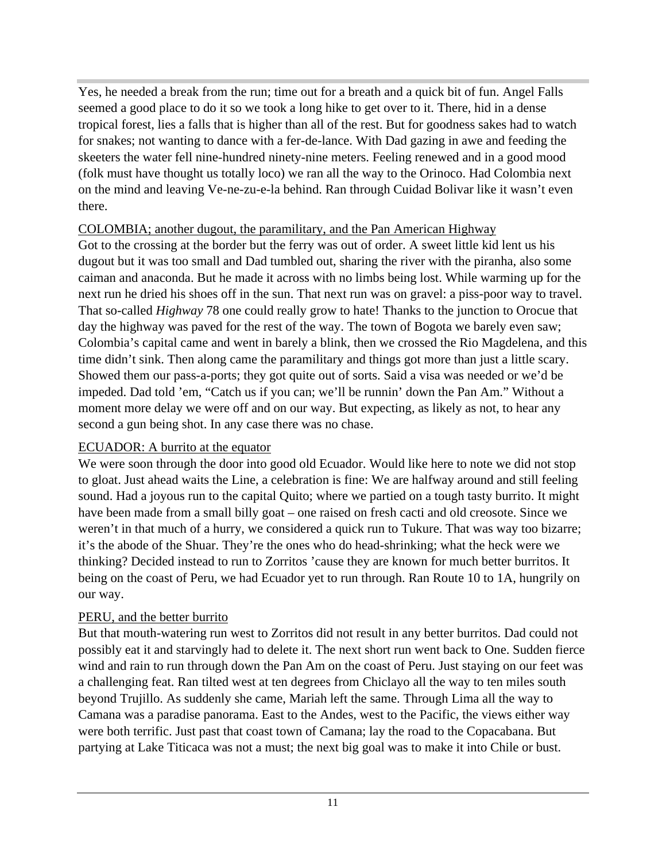Yes, he needed a break from the run; time out for a breath and a quick bit of fun. Angel Falls seemed a good place to do it so we took a long hike to get over to it. There, hid in a dense tropical forest, lies a falls that is higher than all of the rest. But for goodness sakes had to watch for snakes; not wanting to dance with a fer-de-lance. With Dad gazing in awe and feeding the skeeters the water fell nine-hundred ninety-nine meters. Feeling renewed and in a good mood (folk must have thought us totally loco) we ran all the way to the Orinoco. Had Colombia next on the mind and leaving Ve-ne-zu-e-la behind. Ran through Cuidad Bolivar like it wasn't even there.

#### COLOMBIA; another dugout, the paramilitary, and the Pan American Highway

Got to the crossing at the border but the ferry was out of order. A sweet little kid lent us his dugout but it was too small and Dad tumbled out, sharing the river with the piranha, also some caiman and anaconda. But he made it across with no limbs being lost. While warming up for the next run he dried his shoes off in the sun. That next run was on gravel: a piss-poor way to travel. That so-called *Highway* 78 one could really grow to hate! Thanks to the junction to Orocue that day the highway was paved for the rest of the way. The town of Bogota we barely even saw; Colombia's capital came and went in barely a blink, then we crossed the Rio Magdelena, and this time didn't sink. Then along came the paramilitary and things got more than just a little scary. Showed them our pass-a-ports; they got quite out of sorts. Said a visa was needed or we'd be impeded. Dad told 'em, "Catch us if you can; we'll be runnin' down the Pan Am." Without a moment more delay we were off and on our way. But expecting, as likely as not, to hear any second a gun being shot. In any case there was no chase.

#### ECUADOR: A burrito at the equator

We were soon through the door into good old Ecuador. Would like here to note we did not stop to gloat. Just ahead waits the Line, a celebration is fine: We are halfway around and still feeling sound. Had a joyous run to the capital Quito; where we partied on a tough tasty burrito. It might have been made from a small billy goat – one raised on fresh cacti and old creosote. Since we weren't in that much of a hurry, we considered a quick run to Tukure. That was way too bizarre; it's the abode of the Shuar. They're the ones who do head-shrinking; what the heck were we thinking? Decided instead to run to Zorritos 'cause they are known for much better burritos. It being on the coast of Peru, we had Ecuador yet to run through. Ran Route 10 to 1A, hungrily on our way.

#### PERU, and the better burrito

But that mouth-watering run west to Zorritos did not result in any better burritos. Dad could not possibly eat it and starvingly had to delete it. The next short run went back to One. Sudden fierce wind and rain to run through down the Pan Am on the coast of Peru. Just staying on our feet was a challenging feat. Ran tilted west at ten degrees from Chiclayo all the way to ten miles south beyond Trujillo. As suddenly she came, Mariah left the same. Through Lima all the way to Camana was a paradise panorama. East to the Andes, west to the Pacific, the views either way were both terrific. Just past that coast town of Camana; lay the road to the Copacabana. But partying at Lake Titicaca was not a must; the next big goal was to make it into Chile or bust.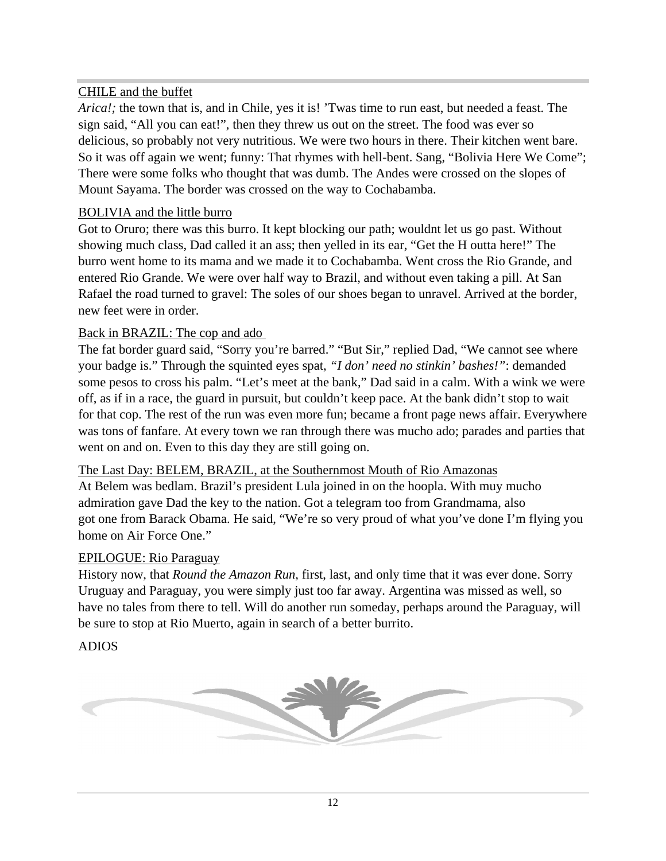#### CHILE and the buffet

*Arica!;* the town that is, and in Chile, yes it is! 'Twas time to run east, but needed a feast. The sign said, "All you can eat!", then they threw us out on the street. The food was ever so delicious, so probably not very nutritious. We were two hours in there. Their kitchen went bare. So it was off again we went; funny: That rhymes with hell-bent. Sang, "Bolivia Here We Come"; There were some folks who thought that was dumb. The Andes were crossed on the slopes of Mount Sayama. The border was crossed on the way to Cochabamba.

#### BOLIVIA and the little burro

Got to Oruro; there was this burro. It kept blocking our path; wouldnt let us go past. Without showing much class, Dad called it an ass; then yelled in its ear, "Get the H outta here!" The burro went home to its mama and we made it to Cochabamba. Went cross the Rio Grande, and entered Rio Grande. We were over half way to Brazil, and without even taking a pill. At San Rafael the road turned to gravel: The soles of our shoes began to unravel. Arrived at the border, new feet were in order.

#### Back in BRAZIL: The cop and ado

The fat border guard said, "Sorry you're barred." "But Sir," replied Dad, "We cannot see where your badge is." Through the squinted eyes spat, *"I don' need no stinkin' bashes!"*: demanded some pesos to cross his palm. "Let's meet at the bank," Dad said in a calm. With a wink we were off, as if in a race, the guard in pursuit, but couldn't keep pace. At the bank didn't stop to wait for that cop. The rest of the run was even more fun; became a front page news affair. Everywhere was tons of fanfare. At every town we ran through there was mucho ado; parades and parties that went on and on. Even to this day they are still going on.

#### The Last Day: BELEM, BRAZIL, at the Southernmost Mouth of Rio Amazonas

At Belem was bedlam. Brazil's president Lula joined in on the hoopla. With muy mucho admiration gave Dad the key to the nation. Got a telegram too from Grandmama, also got one from Barack Obama. He said, "We're so very proud of what you've done I'm flying you home on Air Force One."

#### EPILOGUE: Rio Paraguay

History now, that *Round the Amazon Run,* first, last, and only time that it was ever done. Sorry Uruguay and Paraguay, you were simply just too far away. Argentina was missed as well, so have no tales from there to tell. Will do another run someday, perhaps around the Paraguay, will be sure to stop at Rio Muerto, again in search of a better burrito.

#### ADIOS

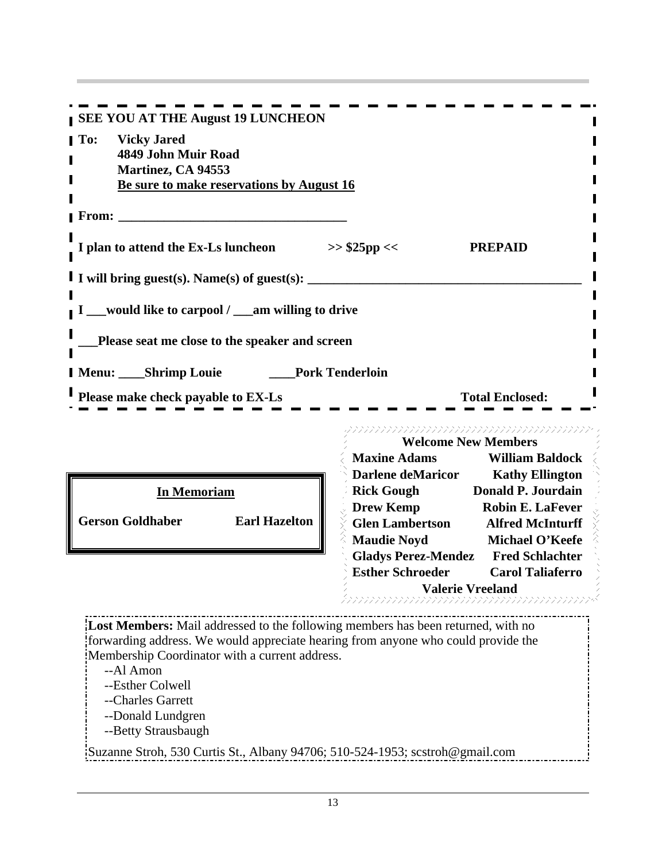| <b>SEE YOU AT THE August 19 LUNCHEON</b>                                                                                                                              |                                        |                                                             |
|-----------------------------------------------------------------------------------------------------------------------------------------------------------------------|----------------------------------------|-------------------------------------------------------------|
| To: Vicky Jared                                                                                                                                                       |                                        |                                                             |
| 4849 John Muir Road                                                                                                                                                   |                                        |                                                             |
| Martinez, CA 94553                                                                                                                                                    |                                        |                                                             |
| Be sure to make reservations by August 16                                                                                                                             |                                        |                                                             |
| <b>From:</b>                                                                                                                                                          |                                        |                                                             |
|                                                                                                                                                                       |                                        |                                                             |
| I plan to attend the Ex-Ls luncheon                                                                                                                                   | $>>$ \$25pp <<                         | <b>PREPAID</b>                                              |
| I I will bring guest(s). Name(s) of guest(s):                                                                                                                         |                                        |                                                             |
|                                                                                                                                                                       |                                        |                                                             |
| $\blacksquare$ I __would like to carpool / __am willing to drive                                                                                                      |                                        |                                                             |
|                                                                                                                                                                       |                                        |                                                             |
| _Please seat me close to the speaker and screen                                                                                                                       |                                        |                                                             |
| Menu: ____Shrimp Louie                                                                                                                                                | Pork Tenderloin                        |                                                             |
|                                                                                                                                                                       |                                        | <b>Total Enclosed:</b>                                      |
| Please make check payable to EX-Ls                                                                                                                                    |                                        |                                                             |
|                                                                                                                                                                       |                                        |                                                             |
|                                                                                                                                                                       |                                        | <b>Welcome New Members</b>                                  |
|                                                                                                                                                                       | <b>Maxine Adams</b>                    | <b>William Baldock</b>                                      |
| <b>In Memoriam</b>                                                                                                                                                    | Darlene deMaricor<br><b>Rick Gough</b> | <b>Kathy Ellington</b><br><b>Donald P. Jourdain</b>         |
|                                                                                                                                                                       | <b>Drew Kemp</b>                       | <b>Robin E. LaFever</b>                                     |
| Gerson Goldhaber<br>Earl Hazelton                                                                                                                                     | <b>Glen Lambertson</b>                 | <b>Alfred McInturff</b>                                     |
|                                                                                                                                                                       | <b>Maudie Noyd</b>                     | Michael O'Keefe                                             |
|                                                                                                                                                                       |                                        | <b>Gladys Perez-Mendez</b> Fred Schlachter                  |
|                                                                                                                                                                       | <b>Esther Schroeder</b>                | <b>Carol Taliaferro</b>                                     |
|                                                                                                                                                                       |                                        | <b>Valerie Vreeland</b><br><i>haanaanaanaanaanaanaanaan</i> |
|                                                                                                                                                                       |                                        |                                                             |
| Lost Members: Mail addressed to the following members has been returned, with no<br>forwarding address. We would appreciate hearing from anyone who could provide the |                                        |                                                             |
| Membership Coordinator with a current address.                                                                                                                        |                                        |                                                             |
| --Al Amon                                                                                                                                                             |                                        |                                                             |
| --Esther Colwell                                                                                                                                                      |                                        |                                                             |
| --Charles Garrett<br>--Donald Lundgren                                                                                                                                |                                        |                                                             |
| --Betty Strausbaugh                                                                                                                                                   |                                        |                                                             |
| $\frac{1}{2}$ Suzanne Stroh, 530 Curtis St., Albany 94706; 510-524-1953; sestroh@gmail.com                                                                            |                                        |                                                             |
|                                                                                                                                                                       |                                        |                                                             |